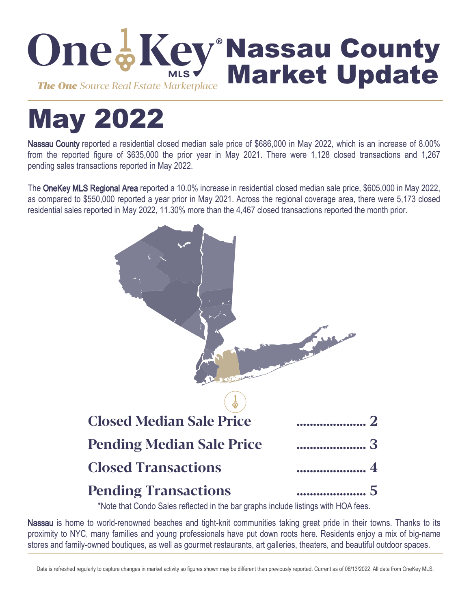

# May 2022

Nassau County reported a residential closed median sale price of \$686,000 in May 2022, which is an increase of 8.00% from the reported figure of \$635,000 the prior year in May 2021. There were 1,128 closed transactions and 1,267 pending sales transactions reported in May 2022.

The OneKey MLS Regional Area reported a 10.0% increase in residential closed median sale price, \$605,000 in May 2022, as compared to \$550,000 reported a year prior in May 2021. Across the regional coverage area, there were 5,173 closed residential sales reported in May 2022, 11.30% more than the 4,467 closed transactions reported the month prior.



\*Note that Condo Sales reflected in the bar graphs include listings with HOA fees.

Nassau is home to world-renowned beaches and tight-knit communities taking great pride in their towns. Thanks to its proximity to NYC, many families and young professionals have put down roots here. Residents enjoy a mix of big-name stores and family-owned boutiques, as well as gourmet restaurants, art galleries, theaters, and beautiful outdoor spaces.

Data is refreshed regularly to capture changes in market activity so figures shown may be different than previously reported. Current as of 06/13/2022. All data from OneKey MLS.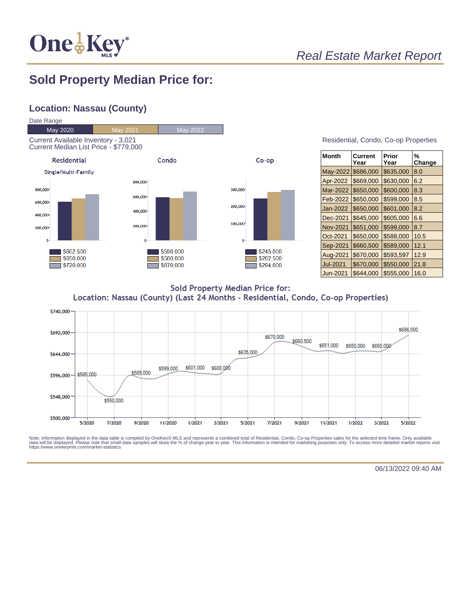

## Real Estate Market Report

## **Sold Property Median Price for:**

#### **Location: Nassau (County)**



| Residential, Condo, Co-op Properties |  |  |
|--------------------------------------|--|--|

| <b>Month</b>    | Current<br>Year | Prior<br>Year | %<br>Change |
|-----------------|-----------------|---------------|-------------|
| May-2022        | \$686,000       | \$635,000     | 8.0         |
| Apr-2022        | \$669,000       | \$630,000     | 6.2         |
| Mar-2022        | \$650,000       | \$600,000     | 8.3         |
| Feb-2022        | \$650,000       | \$599,000     | 8.5         |
| Jan-2022        | \$650,000       | \$601,000     | 8.2         |
| Dec-2021        | \$645,000       | \$605,000     | 6.6         |
| <b>Nov-2021</b> | \$651,000       | \$599,000     | 8.7         |
| Oct-2021        | \$650,000       | \$588,000     | 10.5        |
| Sep-2021        | \$660,500       | \$589,000     | 12.1        |
| Aug-2021        | \$670,000       | \$593,597     | 12.9        |
| <b>Jul-2021</b> | \$670,000       | \$550,000     | 21.8        |
| Jun-2021        | \$644.000       | \$555.000     | 16.0        |

**Sold Property Median Price for:** Location: Nassau (County) (Last 24 Months - Residential, Condo, Co-op Properties)



Note: Information displayed in the data table is compiled by OneKey® MLS and represents a combined total of Residential, Condo, Co-op Properties sales for the selected time frame. Only available<br>data will be displayed. Pl

06/13/2022 09:40 AM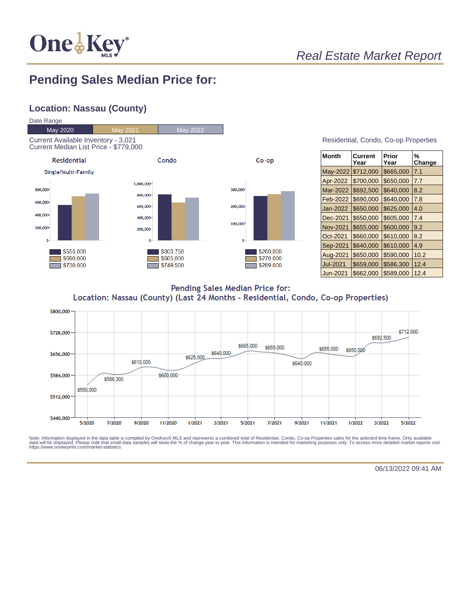

## Real Estate Market Report

# **Pending Sales Median Price for:**

#### **Location: Nassau (County)**



| <b>Month</b>    | Current<br>Year | Prior<br>Year | %<br>Change |
|-----------------|-----------------|---------------|-------------|
| May-2022        | \$712,000       | \$665,000     | 7.1         |
| Apr-2022        | \$700,000       | \$650,000     | 7.7         |
| Mar-2022        | \$692,500       | \$640,000     | 8.2         |
| Feb-2022        | \$690,000       | \$640,000     | 7.8         |
| Jan-2022        | \$650,000       | \$625,000     | 4.0         |
| Dec-2021        | \$650,000       | \$605,000     | 7.4         |
| <b>Nov-2021</b> | \$655,000       | \$600,000     | 9.2         |
| Oct-2021        | \$660,000       | \$610,000     | 8.2         |
| Sep-2021        | \$640,000       | \$610,000     | 4.9         |
| Aug-2021        | \$650,000       | \$590,000     | 10.2        |
| Jul-2021        | \$659,000       | \$586,300     | 12.4        |
| Jun-2021        | \$662,000       | \$589.000     | 12.4        |

Pending Sales Median Price for: Location: Nassau (County) (Last 24 Months - Residential, Condo, Co-op Properties)



Note: Information displayed in the data table is compiled by OneKey® MLS and represents a combined total of Residential, Condo, Co-op Properties sales for the selected time frame. Only available<br>data will be displayed. Pl

06/13/2022 09:41 AM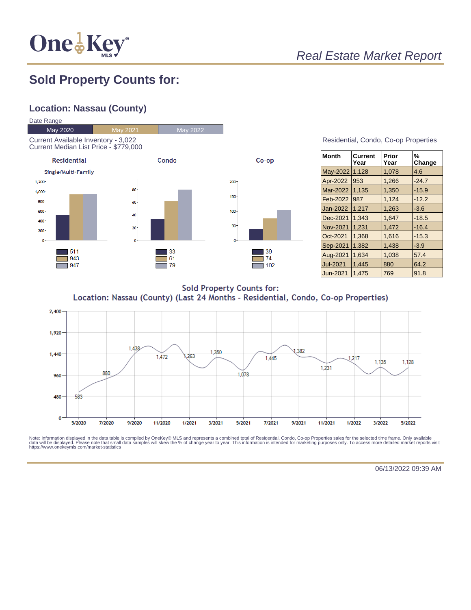

## Real Estate Market Report

## **Sold Property Counts for:**

#### **Location: Nassau (County)**



| Residential, Condo, Co-op Properties |  |  |
|--------------------------------------|--|--|
|                                      |  |  |

| <b>Month</b>    | Current<br>Year | Prior<br>Year | %<br>Change |
|-----------------|-----------------|---------------|-------------|
| May-2022        | 1,128           | 1,078         | 4.6         |
| Apr-2022        | 953             | 1,266         | $-24.7$     |
| Mar-2022        | 1,135           | 1,350         | $-15.9$     |
| Feb-2022        | 987             | 1.124         | $-12.2$     |
| Jan-2022        | 1,217           | 1,263         | $-3.6$      |
| Dec-2021        | 1.343           | 1.647         | $-18.5$     |
| <b>Nov-2021</b> | 1.231           | 1.472         | $-16.4$     |
| Oct-2021        | 1.368           | 1,616         | $-15.3$     |
| Sep-2021        | 1,382           | 1,438         | $-3.9$      |
| Aug-2021        | 1.634           | 1,038         | 57.4        |
| <b>Jul-2021</b> | 1.445           | 880           | 64.2        |
| Jun-2021        | 1.475           | 769           | 91.8        |

**Sold Property Counts for:** Location: Nassau (County) (Last 24 Months - Residential, Condo, Co-op Properties)



Note: Information displayed in the data table is compiled by OneKey® MLS and represents a combined total of Residential, Condo, Co-op Properties sales for the selected time frame. Only available<br>data will be displayed. Pl

06/13/2022 09:39 AM